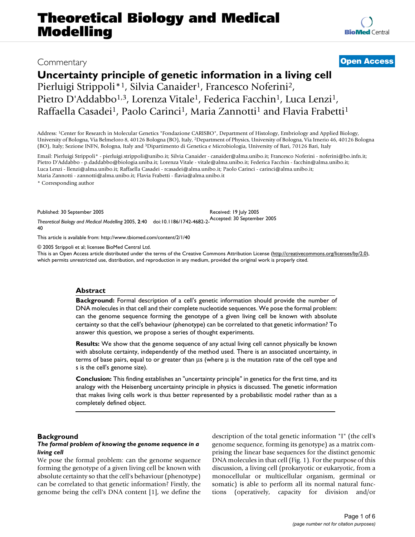# **Theoretical Biology and Medical Modelling**

# Commentary **[Open Access](http://www.biomedcentral.com/info/about/charter/)**

# **Uncertainty principle of genetic information in a living cell**

Pierluigi Strippoli<sup>\*1</sup>, Silvia Canaider<sup>1</sup>, Francesco Noferini<sup>2</sup>, Pietro D'Addabbo<sup>1,3</sup>, Lorenza Vitale<sup>1</sup>, Federica Facchin<sup>1</sup>, Luca Lenzi<sup>1</sup>, Raffaella Casadei<sup>1</sup>, Paolo Carinci<sup>1</sup>, Maria Zannotti<sup>1</sup> and Flavia Frabetti<sup>1</sup>

Address: 1Center for Research in Molecular Genetics "Fondazione CARISBO", Department of Histology, Embriology and Applied Biology, University of Bologna, Via Belmeloro 8, 40126 Bologna (BO), Italy, 2Department of Physics, University of Bologna, Via Irnerio 46, 40126 Bologna (BO), Italy; Sezione INFN, Bologna, Italy and 3Dipartimento di Genetica e Microbiologia, University of Bari, 70126 Bari, Italy

Email: Pierluigi Strippoli\* - pierluigi.strippoli@unibo.it; Silvia Canaider - canaider@alma.unibo.it; Francesco Noferini - noferini@bo.infn.it; Pietro D'Addabbo - p.daddabbo@biologia.uniba.it; Lorenza Vitale - vitale@alma.unibo.it; Federica Facchin - facchin@alma.unibo.it; Luca Lenzi - llenzi@alma.unibo.it; Raffaella Casadei - rcasadei@alma.unibo.it; Paolo Carinci - carinci@alma.unibo.it; Maria Zannotti - zannotti@alma.unibo.it; Flavia Frabetti - flavia@alma.unibo.it

\* Corresponding author

Published: 30 September 2005

40

*Theoretical Biology and Medical Modelling* 2005, **2**:40 doi:10.1186/1742-4682-2- Accepted: 30 September 2005 Received: 19 July 2005

[This article is available from: http://www.tbiomed.com/content/2/1/40](http://www.tbiomed.com/content/2/1/40) © 2005 Strippoli et al; licensee BioMed Central Ltd.

This is an Open Access article distributed under the terms of the Creative Commons Attribution License [\(http://creativecommons.org/licenses/by/2.0\)](http://creativecommons.org/licenses/by/2.0), which permits unrestricted use, distribution, and reproduction in any medium, provided the original work is properly cited.

# **Abstract**

**Background:** Formal description of a cell's genetic information should provide the number of DNA molecules in that cell and their complete nucleotide sequences. We pose the formal problem: can the genome sequence forming the genotype of a given living cell be known with absolute certainty so that the cell's behaviour (phenotype) can be correlated to that genetic information? To answer this question, we propose a series of thought experiments.

**Results:** We show that the genome sequence of any actual living cell cannot physically be known with absolute certainty, independently of the method used. There is an associated uncertainty, in terms of base pairs, equal to or greater than  $\mu$ s (where  $\mu$  is the mutation rate of the cell type and s is the cell's genome size).

**Conclusion:** This finding establishes an "uncertainty principle" in genetics for the first time, and its analogy with the Heisenberg uncertainty principle in physics is discussed. The genetic information that makes living cells work is thus better represented by a probabilistic model rather than as a completely defined object.

# **Background**

### *The formal problem of knowing the genome sequence in a living cell*

We pose the formal problem: can the genome sequence forming the genotype of a given living cell be known with absolute certainty so that the cell's behaviour (phenotype) can be correlated to that genetic information? Firstly, the genome being the cell's DNA content [1], we define the description of the total genetic information "I" (the cell's genome sequence, forming its genotype) as a matrix comprising the linear base sequences for the distinct genomic DNA molecules in that cell (Fig. 1). For the purpose of this discussion, a living cell (prokaryotic or eukaryotic, from a monocellular or multicellular organism, germinal or somatic) is able to perform all its normal natural functions (operatively, capacity for division and/or

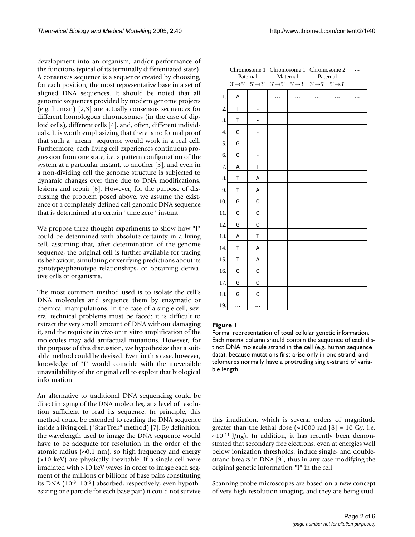development into an organism, and/or performance of the functions typical of its terminally differentiated state). A consensus sequence is a sequence created by choosing, for each position, the most representative base in a set of aligned DNA sequences. It should be noted that all genomic sequences provided by modern genome projects (e.g. human) [2,3] are actually consensus sequences for different homologous chromosomes (in the case of diploid cells), different cells [4], and, often, different individuals. It is worth emphasizing that there is no formal proof that such a "mean" sequence would work in a real cell. Furthermore, each living cell experiences continuous progression from one state, i.e. a pattern configuration of the system at a particular instant, to another [5], and even in a non-dividing cell the genome structure is subjected to dynamic changes over time due to DNA modifications, lesions and repair [6]. However, for the purpose of discussing the problem posed above, we assume the existence of a completely defined cell genomic DNA sequence that is determined at a certain "time zero" instant.

We propose three thought experiments to show how "I" could be determined with absolute certainty in a living cell, assuming that, after determination of the genome sequence, the original cell is further available for tracing its behaviour, simulating or verifying predictions about its genotype/phenotype relationships, or obtaining derivative cells or organisms.

The most common method used is to isolate the cell's DNA molecules and sequence them by enzymatic or chemical manipulations. In the case of a single cell, several technical problems must be faced: it is difficult to extract the very small amount of DNA without damaging it, and the requisite in vivo or in vitro amplification of the molecules may add artifactual mutations. However, for the purpose of this discussion, we hypothesize that a suitable method could be devised. Even in this case, however, knowledge of "I" would coincide with the irreversible unavailability of the original cell to exploit that biological information.

An alternative to traditional DNA sequencing could be direct imaging of the DNA molecules, at a level of resolution sufficient to read its sequence. In principle, this method could be extended to reading the DNA sequence inside a living cell ("Star Trek" method) [7]. By definition, the wavelength used to image the DNA sequence would have to be adequate for resolution in the order of the atomic radius  $(\sim 0.1 \text{ nm})$ , so high frequency and energy (>10 keV) are physically inevitable. If a single cell were irradiated with >10 keV waves in order to image each segment of the millions or billions of base pairs constituting its DNA (10-9–10-6 J absorbed, respectively, even hypothesizing one particle for each base pair) it could not survive

|     | Paternal |               | Chromosome 1 Chromosome 1 Chromosome 2<br>Maternal |                                                                                                                         | Paternal |  |  |
|-----|----------|---------------|----------------------------------------------------|-------------------------------------------------------------------------------------------------------------------------|----------|--|--|
|     |          |               |                                                    | $3' \rightarrow 5'$ $5' \rightarrow 3'$ $3' \rightarrow 5'$ $5' \rightarrow 3'$ $3' \rightarrow 5'$ $5' \rightarrow 3'$ |          |  |  |
| 1.  | Α        |               |                                                    |                                                                                                                         |          |  |  |
| 2.  | T        |               |                                                    |                                                                                                                         |          |  |  |
| 3.  | Т        |               |                                                    |                                                                                                                         |          |  |  |
| 4.  | G        |               |                                                    |                                                                                                                         |          |  |  |
| 5.  | G        |               |                                                    |                                                                                                                         |          |  |  |
| 6.  | G        |               |                                                    |                                                                                                                         |          |  |  |
| 7.  | Α        | Т             |                                                    |                                                                                                                         |          |  |  |
| 8.  | Т        | Α             |                                                    |                                                                                                                         |          |  |  |
| 9.  | T        | Α             |                                                    |                                                                                                                         |          |  |  |
| 10. | G        | $\mathcal{C}$ |                                                    |                                                                                                                         |          |  |  |
| 11. | G        | C             |                                                    |                                                                                                                         |          |  |  |
| 12. | G        | $\mathcal{C}$ |                                                    |                                                                                                                         |          |  |  |
| 13. | Α        | T             |                                                    |                                                                                                                         |          |  |  |
| 14. | T        | Α             |                                                    |                                                                                                                         |          |  |  |
| 15. | T        | Α             |                                                    |                                                                                                                         |          |  |  |
| 16. | G        | $\mathcal{C}$ |                                                    |                                                                                                                         |          |  |  |
| 17. | G        | $\mathcal{C}$ |                                                    |                                                                                                                         |          |  |  |
| 18. | G        | $\mathcal{C}$ |                                                    |                                                                                                                         |          |  |  |
| 19. |          |               |                                                    |                                                                                                                         |          |  |  |

#### Figure 1

Formal representation of total cellular genetic information. Each matrix column should contain the sequence of each distinct DNA molecule strand in the cell (e.g. human sequence data), because mutations first arise only in one strand, and telomeres normally have a protruding single-strand of variable length.

this irradiation, which is several orders of magnitude greater than the lethal dose  $\left(\sim 1000 \text{ rad } |8\right) = 10 \text{ Gy}$ , i.e.  $\sim$ 10<sup>-11</sup> J/ng). In addition, it has recently been demonstrated that secondary free electrons, even at energies well below ionization thresholds, induce single- and doublestrand breaks in DNA [9], thus in any case modifying the original genetic information "I" in the cell.

Scanning probe microscopes are based on a new concept of very high-resolution imaging, and they are being stud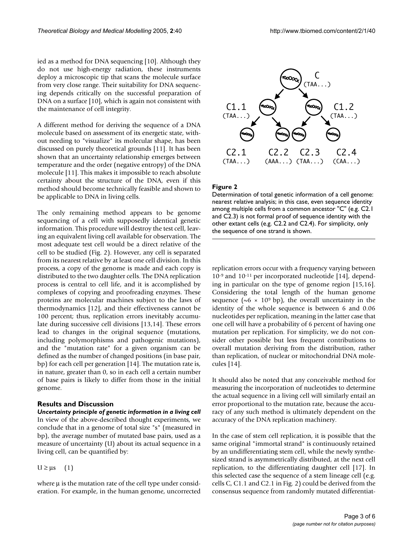ied as a method for DNA sequencing [10]. Although they do not use high-energy radiation, these instruments deploy a microscopic tip that scans the molecule surface from very close range. Their suitability for DNA sequencing depends critically on the successful preparation of DNA on a surface [10], which is again not consistent with the maintenance of cell integrity.

A different method for deriving the sequence of a DNA molecule based on assessment of its energetic state, without needing to "visualize" its molecular shape, has been discussed on purely theoretical grounds [11]. It has been shown that an uncertainty relationship emerges between temperature and the order (negative entropy) of the DNA molecule [11]. This makes it impossible to reach absolute certainty about the structure of the DNA, even if this method should become technically feasible and shown to be applicable to DNA in living cells.

The only remaining method appears to be genome sequencing of a cell with supposedly identical genetic information. This procedure will destroy the test cell, leaving an equivalent living cell available for observation. The most adequate test cell would be a direct relative of the cell to be studied (Fig. 2). However, any cell is separated from its nearest relative by at least one cell division. In this process, a copy of the genome is made and each copy is distributed to the two daughter cells. The DNA replication process is central to cell life, and it is accomplished by complexes of copying and proofreading enzymes. These proteins are molecular machines subject to the laws of thermodynamics [12], and their effectiveness cannot be 100 percent; thus, replication errors inevitably accumulate during successive cell divisions [13,14]. These errors lead to changes in the original sequence (mutations, including polymorphisms and pathogenic mutations), and the "mutation rate" for a given organism can be defined as the number of changed positions (in base pair, bp) for each cell per generation [14]. The mutation rate is, in nature, greater than 0, so in each cell a certain number of base pairs is likely to differ from those in the initial genome.

### **Results and Discussion**

*Uncertainty principle of genetic information in a living cell* In view of the above-described thought experiments, we conclude that in a genome of total size "s" (measured in bp), the average number of mutated base pairs, used as a measure of uncertainty (U) about its actual sequence in a living cell, can be quantified by:

 $U \ge \mu s$  (1)

where  $\mu$  is the mutation rate of the cell type under consideration. For example, in the human genome, uncorrected



#### Figure 2

Determination of total genetic information of a cell genome: nearest relative analysis; in this case, even sequence identity among multiple cells from a common ancestor "C" (e.g. C2.1 and C2.3) is not formal proof of sequence identity with the other extant cells (e.g. C2.2 and C2.4). For simplicity, only the sequence of one strand is shown.

replication errors occur with a frequency varying between 10-9 and 10-11 per incorporated nucleotide [14], depending in particular on the type of genome region [15,16]. Considering the total length of the human genome sequence ( $\sim$ 6  $\times$  10<sup>9</sup> bp), the overall uncertainty in the identity of the whole sequence is between 6 and 0.06 nucleotides per replication, meaning in the latter case that one cell will have a probability of 6 percent of having one mutation per replication. For simplicity, we do not consider other possible but less frequent contributions to overall mutation deriving from the distribution, rather than replication, of nuclear or mitochondrial DNA molecules [14].

It should also be noted that any conceivable method for measuring the incorporation of nucleotides to determine the actual sequence in a living cell will similarly entail an error proportional to the mutation rate, because the accuracy of any such method is ultimately dependent on the accuracy of the DNA replication machinery.

In the case of stem cell replication, it is possible that the same original "immortal strand" is continuously retained by an undifferentiating stem cell, while the newly synthesized strand is asymmetrically distributed, at the next cell replication, to the differentiating daughter cell [17]. In this selected case the sequence of a stem lineage cell (e.g. cells C, C1.1 and C2.1 in Fig. 2) could be derived from the consensus sequence from randomly mutated differentiat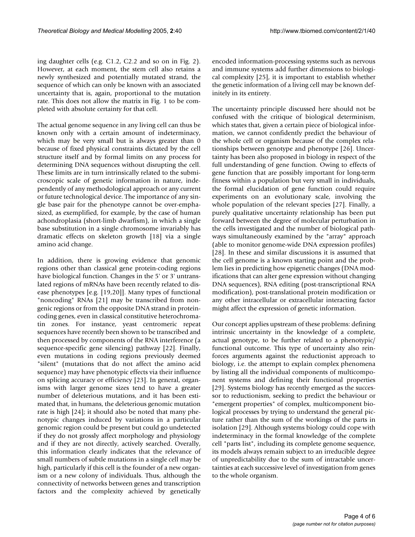ing daughter cells (e.g. C1.2, C2.2 and so on in Fig. 2). However, at each moment, the stem cell also retains a newly synthesized and potentially mutated strand, the sequence of which can only be known with an associated uncertainty that is, again, proportional to the mutation rate. This does not allow the matrix in Fig. 1 to be completed with absolute certainty for that cell.

The actual genome sequence in any living cell can thus be known only with a certain amount of indeterminacy, which may be very small but is always greater than 0 because of fixed physical constraints dictated by the cell structure itself and by formal limits on any process for determining DNA sequences without disrupting the cell. These limits are in turn intrinsically related to the submicroscopic scale of genetic information in nature, independently of any methodological approach or any current or future technological device. The importance of any single base pair for the phenotype cannot be over-emphasized, as exemplified, for example, by the case of human achondroplasia (short-limb dwarfism), in which a single base substitution in a single chromosome invariably has dramatic effects on skeleton growth [18] via a single amino acid change.

In addition, there is growing evidence that genomic regions other than classical gene protein-coding regions have biological function. Changes in the 5' or 3' untranslated regions of mRNAs have been recently related to disease phenotypes [e.g. [19,20]]. Many types of functional "noncoding" RNAs [21] may be transcribed from nongenic regions or from the opposite DNA strand in proteincoding genes, even in classical constitutive heterochromatin zones. For instance, yeast centromeric repeat sequences have recently been shown to be transcribed and then processed by components of the RNA interference (a sequence-specific gene silencing) pathway [22]. Finally, even mutations in coding regions previously deemed "silent" (mutations that do not affect the amino acid sequence) may have phenotypic effects via their influence on splicing accuracy or efficiency [23]. In general, organisms with larger genome sizes tend to have a greater number of deleterious mutations, and it has been estimated that, in humans, the deleterious genomic mutation rate is high [24]; it should also be noted that many phenotypic changes induced by variations in a particular genomic region could be present but could go undetected if they do not grossly affect morphology and physiology and if they are not directly, actively searched. Overally, this information clearly indicates that the relevance of small numbers of subtle mutations in a single cell may be high, particularly if this cell is the founder of a new organism or a new colony of individuals. Thus, although the connectivity of networks between genes and transcription factors and the complexity achieved by genetically encoded information-processing systems such as nervous and immune systems add further dimensions to biological complexity [25], it is important to establish whether the genetic information of a living cell may be known definitely in its entirety.

The uncertainty principle discussed here should not be confused with the critique of biological determinism, which states that, given a certain piece of biological information, we cannot confidently predict the behaviour of the whole cell or organism because of the complex relationships between genotype and phenotype [26]. Uncertainty has been also proposed in biology in respect of the full understanding of gene function. Owing to effects of gene function that are possibly important for long-term fitness within a population but very small in individuals, the formal elucidation of gene function could require experiments on an evolutionary scale, involving the whole population of the relevant species [27]. Finally, a purely qualitative uncertainty relationship has been put forward between the degree of molecular perturbation in the cells investigated and the number of biological pathways simultaneously examined by the "array" approach (able to monitor genome-wide DNA expression profiles) [28]. In these and similar discussions it is assumed that the cell genome is a known starting point and the problem lies in predicting how epigenetic changes (DNA modifications that can alter gene expression without changing DNA sequences), RNA editing (post-transcriptional RNA modification), post-translational protein modification or any other intracellular or extracellular interacting factor might affect the expression of genetic information.

Our concept applies upstream of these problems: defining intrinsic uncertainty in the knowledge of a complete, actual genotype, to be further related to a phenotypic/ functional outcome. This type of uncertainty also reinforces arguments against the reductionist approach to biology, i.e. the attempt to explain complex phenomena by listing all the individual components of multicomponent systems and defining their functional properties [29]. Systems biology has recently emerged as the successor to reductionism, seeking to predict the behaviour or "emergent properties" of complex, multicomponent biological processes by trying to understand the general picture rather than the sum of the workings of the parts in isolation [29]. Although systems biology could cope with indeterminacy in the formal knowledge of the complete cell "parts list", including its complete genome sequence, its models always remain subject to an irreducible degree of unpredictability due to the sum of intractable uncertainties at each successive level of investigation from genes to the whole organism.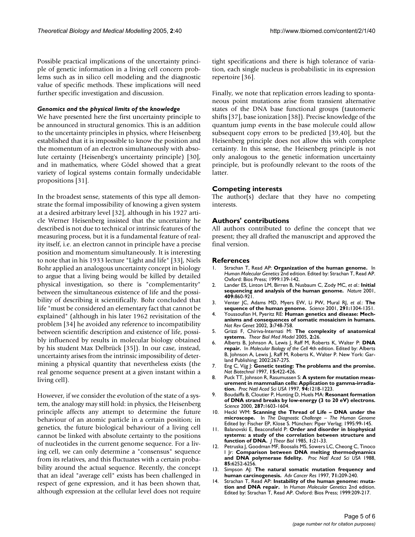Possible practical implications of the uncertainty principle of genetic information in a living cell concern problems such as in silico cell modeling and the diagnostic value of specific methods. These implications will need further specific investigation and discussion.

#### *Genomics and the physical limits of the knowledge*

We have presented here the first uncertainty principle to be announced in structural genomics. This is an addition to the uncertainty principles in physics, where Heisenberg established that it is impossible to know the position and the momentum of an electron simultaneously with absolute certainty (Heisenberg's uncertainty principle) [30], and in mathematics, where Gödel showed that a great variety of logical systems contain formally undecidable propositions [31].

In the broadest sense, statements of this type all demonstrate the formal impossibility of knowing a given system at a desired arbitrary level [32], although in his 1927 article Werner Heisenberg insisted that the uncertainty he described is not due to technical or intrinsic features of the measuring process, but it is a fundamental feature of reality itself, i.e. an electron cannot in principle have a precise position and momentum simultaneously. It is interesting to note that in his 1933 lecture "Light and life" [33], Niels Bohr applied an analogous uncertainty concept in biology to argue that a living being would be killed by detailed physical investigation, so there is "complementarity" between the simultaneous existence of life and the possibility of describing it scientifically. Bohr concluded that life "must be considered an elementary fact that cannot be explained" (although in his later 1962 revisitation of the problem [34] he avoided any reference to incompatibility between scientific description and existence of life, possibly influenced by results in molecular biology obtained by his student Max Delbrück [35]). In our case, instead, uncertainty arises from the intrinsic impossibility of determining a physical quantity that nevertheless exists (the real genome sequence present at a given instant within a living cell).

However, if we consider the evolution of the state of a system, the analogy may still hold: in physics, the Heisenberg principle affects any attempt to determine the future behaviour of an atomic particle in a certain position; in genetics, the future biological behaviour of a living cell cannot be linked with absolute certainty to the positions of nucleotides in the current genome sequence. For a living cell, we can only determine a "consensus" sequence from its relatives, and this fluctuates with a certain probability around the actual sequence. Recently, the concept that an ideal "average cell" exists has been challenged in respect of gene expression, and it has been shown that, although expression at the cellular level does not require tight specifications and there is high tolerance of variation, each single nucleus is probabilistic in its expression repertoire [36].

Finally, we note that replication errors leading to spontaneous point mutations arise from transient alternative states of the DNA base functional groups (tautomeric shifts [37], base ionization [38]). Precise knowledge of the quantum jump events in the base molecule could allow subsequent copy errors to be predicted [39,40], but the Heisenberg principle does not allow this with complete certainty. In this sense, the Heisenberg principle is not only analogous to the genetic information uncertainty principle, but is profoundly relevant to the roots of the latter.

#### **Competing interests**

The author(s) declare that they have no competing interests.

#### **Authors' contributions**

All authors contributed to define the concept that we present; they all drafted the manuscript and approved the final version.

#### **References**

- 1. Strachan T, Read AP: **Organization of the human genome.** In *Human Molecular Genetics* 2nd edition. Edited by: Strachan T, Read AP. Oxford: Bios Press; 1999:139-142.
- 2. Lander ES, Linton LM, Birren B, Nusbaum C, Zody MC, *et al.*: **[Initial](http://www.ncbi.nlm.nih.gov/entrez/query.fcgi?cmd=Retrieve&db=PubMed&dopt=Abstract&list_uids=11237011) [sequencing and analysis of the human genome.](http://www.ncbi.nlm.nih.gov/entrez/query.fcgi?cmd=Retrieve&db=PubMed&dopt=Abstract&list_uids=11237011)** *Nature* 2001, **409:**860-921.
- 3. Venter JC, Adams MD, Myers EW, Li PW, Mural RJ, *et al.*: **[The](http://www.ncbi.nlm.nih.gov/entrez/query.fcgi?cmd=Retrieve&db=PubMed&dopt=Abstract&list_uids=11181995) [sequence of the human genome.](http://www.ncbi.nlm.nih.gov/entrez/query.fcgi?cmd=Retrieve&db=PubMed&dopt=Abstract&list_uids=11181995)** *Science* 2001, **291:**1304-1351.
- 4. Youssoufian H, Pyeritz RE: **[Human genetics and disease: Mech](http://www.ncbi.nlm.nih.gov/entrez/query.fcgi?cmd=Retrieve&db=PubMed&dopt=Abstract&list_uids=12360233)[anisms and consequences of somatic mosaicism in humans.](http://www.ncbi.nlm.nih.gov/entrez/query.fcgi?cmd=Retrieve&db=PubMed&dopt=Abstract&list_uids=12360233)** *Nat Rev Genet* 2002, **3:**748-758.
- 5. Grizzi F, Chiriva-Internati M: **[The complexity of anatomical](http://www.ncbi.nlm.nih.gov/entrez/query.fcgi?cmd=Retrieve&db=PubMed&dopt=Abstract&list_uids=16029490) [systems.](http://www.ncbi.nlm.nih.gov/entrez/query.fcgi?cmd=Retrieve&db=PubMed&dopt=Abstract&list_uids=16029490)** *Theor Biol Med Model* 2005, **2:**26.
- 6. Alberts B, Johnson A, Lewis J, Raff M, Roberts K, Walter P: **DNA repair.** In *Molecular Biology of the Cell* 4th edition. Edited by: Alberts B, Johnson A, Lewis J, Raff M, Roberts K, Walter P. New York: Garland Publishing; 2002:267-275.
- 7. Eng C, Vijg J: **[Genetic testing: The problems and the promise.](http://www.ncbi.nlm.nih.gov/entrez/query.fcgi?cmd=Retrieve&db=PubMed&dopt=Abstract&list_uids=9131618)** *Nat Biotechnol* 1997, **15:**422-426.
- 8. Puck TT, Johnson R, Rasumussen S: **[A system for mutation meas](http://www.ncbi.nlm.nih.gov/entrez/query.fcgi?cmd=Retrieve&db=PubMed&dopt=Abstract&list_uids=9037033)[urement in mammalian cells: Application to gamma-irradia](http://www.ncbi.nlm.nih.gov/entrez/query.fcgi?cmd=Retrieve&db=PubMed&dopt=Abstract&list_uids=9037033)[tion.](http://www.ncbi.nlm.nih.gov/entrez/query.fcgi?cmd=Retrieve&db=PubMed&dopt=Abstract&list_uids=9037033)** *Proc Natl Acad Sci USA* 1997, **94:**1218-1223.
- 9. Boudaiffa B, Cloutier P, Hunting D, Huels MA: **[Resonant formation](http://www.ncbi.nlm.nih.gov/entrez/query.fcgi?cmd=Retrieve&db=PubMed&dopt=Abstract&list_uids=10733428) [of DNA strand breaks by low-energy \(3 to 20 eV\) electrons.](http://www.ncbi.nlm.nih.gov/entrez/query.fcgi?cmd=Retrieve&db=PubMed&dopt=Abstract&list_uids=10733428)** *Science* 2000, **287:**1603-1604.
- 10. Heckl WM: **Scanning the Thread of Life DNA under the microscope.** In *The Diagnostic Challenge – The Human Genome* Edited by: Fischer EP, Klose S. München: Piper Verlag; 1995:99-145.
- 11. Balanovski E, Beaconsfield P: **Order and disorder in biophysical systems: a study of the correlation between structure and function of DNA.** *J Theor Biol* 1985, **1:**21-33.
- 12. Petruska J, Goodman MF, Boosalis MS, Sowers LC, Cheong C, Tinoco I Jr: **[Comparison between DNA melting thermodynamics](http://www.ncbi.nlm.nih.gov/entrez/query.fcgi?cmd=Retrieve&db=PubMed&dopt=Abstract&list_uids=3413095) [and DNA polymerase fidelity.](http://www.ncbi.nlm.nih.gov/entrez/query.fcgi?cmd=Retrieve&db=PubMed&dopt=Abstract&list_uids=3413095)** *Proc Natl Acad Sci USA* 1988, **85:**6252-6256.
- 13. Simpson AJ: **[The natural somatic mutation frequency and](http://www.ncbi.nlm.nih.gov/entrez/query.fcgi?cmd=Retrieve&db=PubMed&dopt=Abstract&list_uids=9111867) [human carcinogenesis.](http://www.ncbi.nlm.nih.gov/entrez/query.fcgi?cmd=Retrieve&db=PubMed&dopt=Abstract&list_uids=9111867)** *Adv Cancer Res* 1997, **71:**209-240.
- 14. Strachan T, Read AP: **Instability of the human genome: mutation and DNA repair.** In *Human Molecular Genetics* 2nd edition. Edited by: Strachan T, Read AP. Oxford: Bios Press; 1999:209-217.